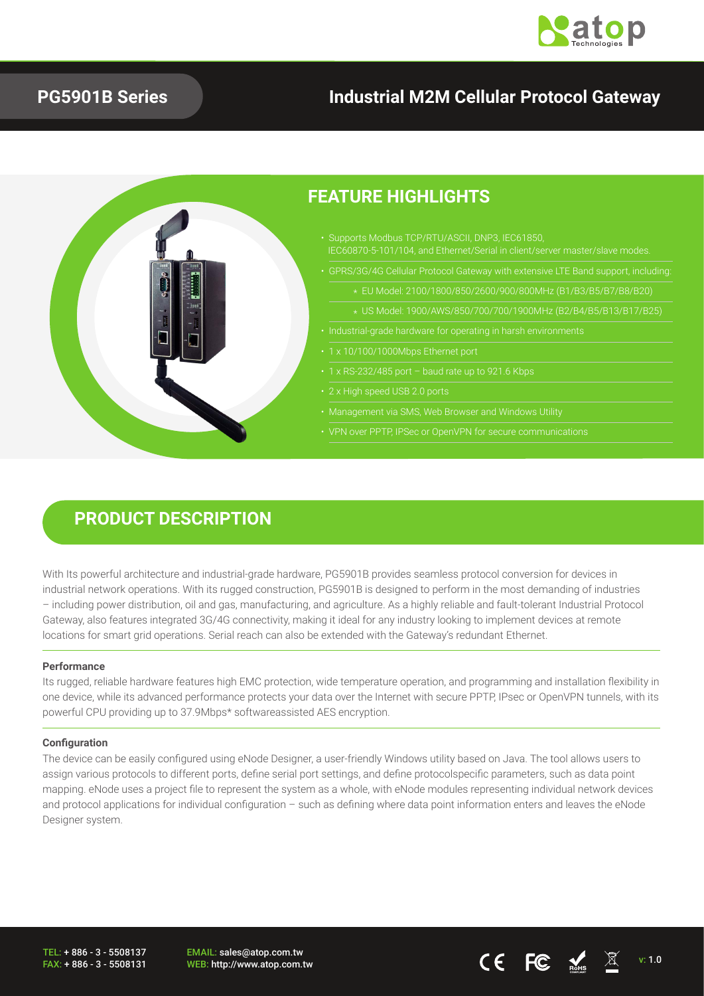

### **PG5901B Series**

## **Industrial M2M Cellular Protocol Gateway**



## **PRODUCT DESCRIPTION**

With Its powerful architecture and industrial-grade hardware, PG5901B provides seamless protocol conversion for devices in industrial network operations. With its rugged construction, PG5901B is designed to perform in the most demanding of industries – including power distribution, oil and gas, manufacturing, and agriculture. As a highly reliable and fault-tolerant Industrial Protocol Gateway, also features integrated 3G/4G connectivity, making it ideal for any industry looking to implement devices at remote locations for smart grid operations. Serial reach can also be extended with the Gateway's redundant Ethernet.

### **Performance**

Its rugged, reliable hardware features high EMC protection, wide temperature operation, and programming and installation flexibility in one device, while its advanced performance protects your data over the Internet with secure PPTP, IPsec or OpenVPN tunnels, with its powerful CPU providing up to 37.9Mbps\* softwareassisted AES encryption.

### **Configuration**

The device can be easily configured using eNode Designer, a user-friendly Windows utility based on Java. The tool allows users to assign various protocols to different ports, define serial port settings, and define protocolspecific parameters, such as data point mapping. eNode uses a project file to represent the system as a whole, with eNode modules representing individual network devices and protocol applications for individual configuration – such as defining where data point information enters and leaves the eNode Designer system.

TEL: + 886 - 3 - 5508137 FAX: + 886 - 3 - 5508131 EMAIL: sales@atop.com.tw  $\mathsf{WEB:}$  http://www.atop.com.tw v: 1.0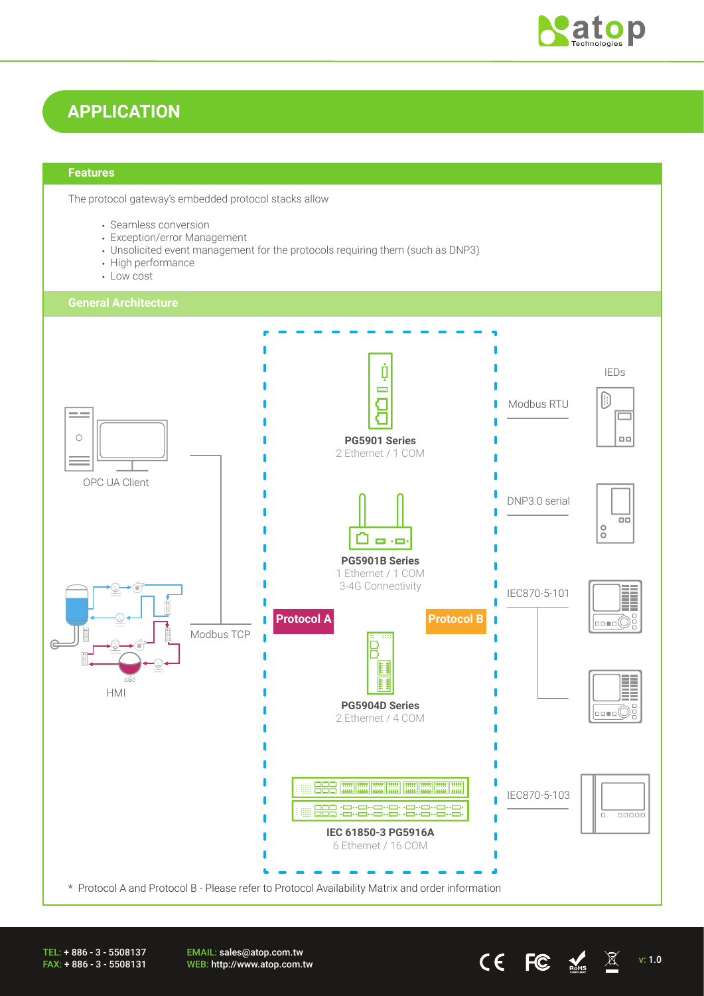

## **APPLICATION**

### **Features**

The protocol gateway's embedded protocol stacks allow

- Seamless conversion
- Exception/error Management
- Unsolicited event management for the protocols requiring them (such as DNP3)
- High performance
- Low cost



TEL: + 886 - 3 - 5508137 FAX: + 886 - 3 - 5508131 EMAIL: sales@atop.com.tw WEB: http://www.atop.com.tw v: 1.0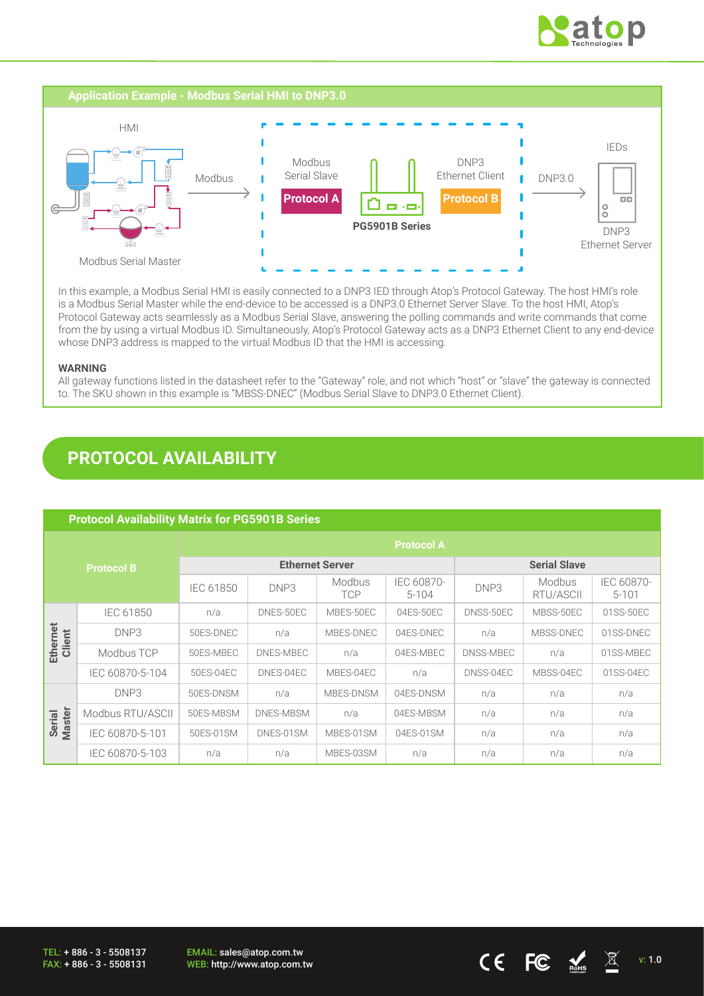



In this example, a Modbus Serial HMI is easily connected to a DNP3 IED through Atop's Protocol Gateway. The host HMI's role is a Modbus Serial Master while the end-device to be accessed is a DNP3.0 Ethernet Server Slave. To the host HMI, Atop's Protocol Gateway acts seamlessly as a Modbus Serial Slave, answering the polling commands and write commands that come from the by using a virtual Modbus ID. Simultaneously, Atop's Protocol Gateway acts as a DNP3 Ethernet Client to any end-device whose DNP3 address is mapped to the virtual Modbus ID that the HMI is accessing.

### **WARNING**

All gateway functions listed in the datasheet refer to the "Gateway" role, and not which "host" or "slave" the gateway is connected to. The SKU shown in this example is "MBSS-DNEC" (Modbus Serial Slave to DNP3.0 Ethernet Client).

## **PROTOCOL AVAILABILITY**

|                    | <b>Protocol Availability Matrix for PG5901B Series</b> |                        |           |                      |                         |                     |                     |                         |
|--------------------|--------------------------------------------------------|------------------------|-----------|----------------------|-------------------------|---------------------|---------------------|-------------------------|
| <b>Protocol B</b>  |                                                        |                        |           |                      | <b>Protocol A</b>       |                     |                     |                         |
|                    |                                                        | <b>Ethernet Server</b> |           |                      |                         | <b>Serial Slave</b> |                     |                         |
|                    |                                                        | <b>IEC 61850</b>       | DNP3      | Modbus<br><b>TCP</b> | IEC 60870-<br>$5 - 104$ | DNP <sub>3</sub>    | Modbus<br>RTU/ASCII | IEC 60870-<br>$5 - 101$ |
| Ethernet<br>Client | <b>IEC 61850</b>                                       | n/a                    | DNES-50EC | MBES-50EC            | 04ES-50EC               | DNSS-50EC           | MBSS-50EC           | 01SS-50EC               |
|                    | DNP3                                                   | 50ES-DNEC              | n/a       | MBES-DNEC            | 04ES-DNEC               | n/a                 | MBSS-DNEC           | 01SS-DNEC               |
|                    | Modbus TCP                                             | 50ES-MBEC              | DNES-MBEC | n/a                  | 04ES-MBEC               | DNSS-MBEC           | n/a                 | 01SS-MBEC               |
|                    | IEC 60870-5-104                                        | 50ES-04EC              | DNES-04EC | MBES-04EC            | n/a                     | DNSS-04EC           | MBSS-04EC           | 01SS-04EC               |
| Serial<br>Master   | DNP3                                                   | 50ES-DNSM              | n/a       | MBES-DNSM            | 04ES-DNSM               | n/a                 | n/a                 | n/a                     |
|                    | Modbus RTU/ASCII                                       | 50ES-MBSM              | DNES-MBSM | n/a                  | 04ES-MBSM               | n/a                 | n/a                 | n/a                     |
|                    | IEC 60870-5-101                                        | 50ES-01SM              | DNES-01SM | MBES-01SM            | 04ES-01SM               | n/a                 | n/a                 | n/a                     |
|                    | IEC 60870-5-103                                        | n/a                    | n/a       | MBES-03SM            | n/a                     | n/a                 | n/a                 | n/a                     |

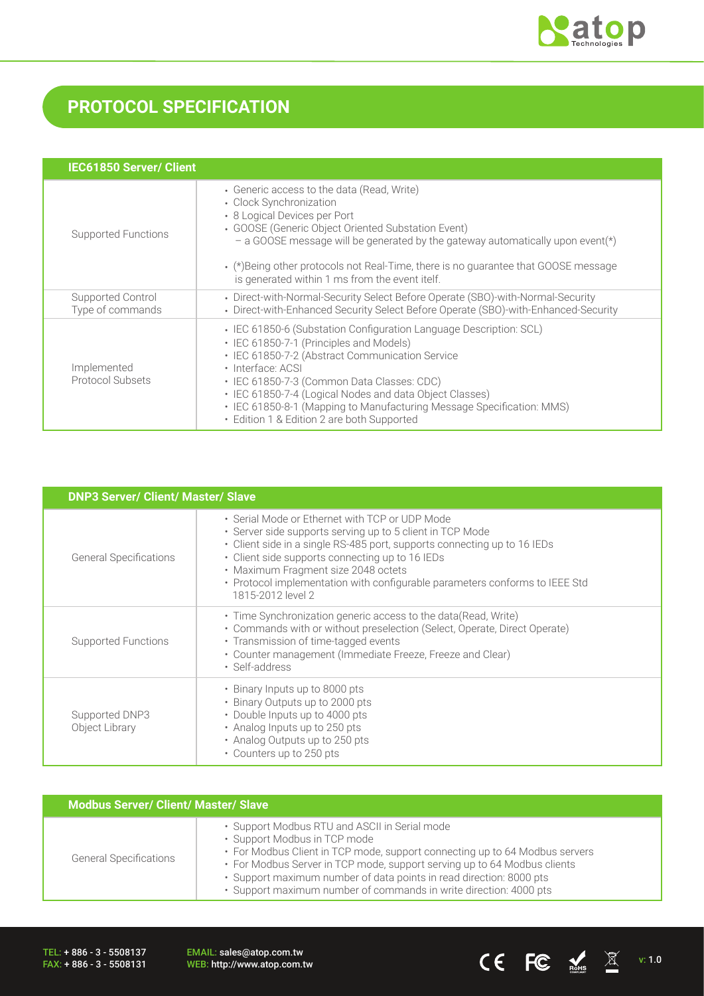

# **PROTOCOL SPECIFICATION**

| <b>IEC61850 Server/ Client</b>         |                                                                                                                                                                                                                                                                                                                                                                                                                       |
|----------------------------------------|-----------------------------------------------------------------------------------------------------------------------------------------------------------------------------------------------------------------------------------------------------------------------------------------------------------------------------------------------------------------------------------------------------------------------|
| Supported Functions                    | • Generic access to the data (Read, Write)<br>• Clock Synchronization<br>• 8 Logical Devices per Port<br>• GOOSE (Generic Object Oriented Substation Event)<br>- a GOOSE message will be generated by the gateway automatically upon event( $\star$ )<br>• (*) Being other protocols not Real-Time, there is no guarantee that GOOSE message<br>is generated within 1 ms from the event itelf.                        |
| Supported Control<br>Type of commands  | • Direct-with-Normal-Security Select Before Operate (SBO)-with-Normal-Security<br>• Direct-with-Enhanced Security Select Before Operate (SBO)-with-Enhanced-Security                                                                                                                                                                                                                                                  |
| Implemented<br><b>Protocol Subsets</b> | • IEC 61850-6 (Substation Configuration Language Description: SCL)<br>• IEC 61850-7-1 (Principles and Models)<br>• IEC 61850-7-2 (Abstract Communication Service<br>· Interface: ACSI<br>· IEC 61850-7-3 (Common Data Classes: CDC)<br>• IEC 61850-7-4 (Logical Nodes and data Object Classes)<br>• IEC 61850-8-1 (Mapping to Manufacturing Message Specification: MMS)<br>• Edition 1 & Edition 2 are both Supported |

| <b>DNP3 Server/ Client/ Master/ Slave</b> |                                                                                                                                                                                                                                                                                                                                                                                       |  |  |  |
|-------------------------------------------|---------------------------------------------------------------------------------------------------------------------------------------------------------------------------------------------------------------------------------------------------------------------------------------------------------------------------------------------------------------------------------------|--|--|--|
| <b>General Specifications</b>             | • Serial Mode or Ethernet with TCP or UDP Mode<br>• Server side supports serving up to 5 client in TCP Mode<br>• Client side in a single RS-485 port, supports connecting up to 16 IEDs<br>• Client side supports connecting up to 16 IEDs<br>• Maximum Fragment size 2048 octets<br>• Protocol implementation with configurable parameters conforms to IEEE Std<br>1815-2012 level 2 |  |  |  |
| Supported Functions                       | • Time Synchronization generic access to the data (Read, Write)<br>• Commands with or without preselection (Select, Operate, Direct Operate)<br>• Transmission of time-tagged events<br>• Counter management (Immediate Freeze, Freeze and Clear)<br>• Self-address                                                                                                                   |  |  |  |
| Supported DNP3<br>Object Library          | • Binary Inputs up to 8000 pts<br>• Binary Outputs up to 2000 pts<br>• Double Inputs up to 4000 pts<br>• Analog Inputs up to 250 pts<br>• Analog Outputs up to 250 pts<br>• Counters up to 250 pts                                                                                                                                                                                    |  |  |  |

| <b>Modbus Server/ Client/ Master/ Slave</b> |                                                                                                                                                                                                                                                                                                                                                                                      |  |  |  |
|---------------------------------------------|--------------------------------------------------------------------------------------------------------------------------------------------------------------------------------------------------------------------------------------------------------------------------------------------------------------------------------------------------------------------------------------|--|--|--|
| <b>General Specifications</b>               | · Support Modbus RTU and ASCII in Serial mode<br>· Support Modbus in TCP mode<br>• For Modbus Client in TCP mode, support connecting up to 64 Modbus servers<br>• For Modbus Server in TCP mode, support serving up to 64 Modbus clients<br>· Support maximum number of data points in read direction: 8000 pts<br>· Support maximum number of commands in write direction: 4000 pts |  |  |  |

TEL: + 886 - 3 - 5508137 FAX: + 886 - 3 - 5508131

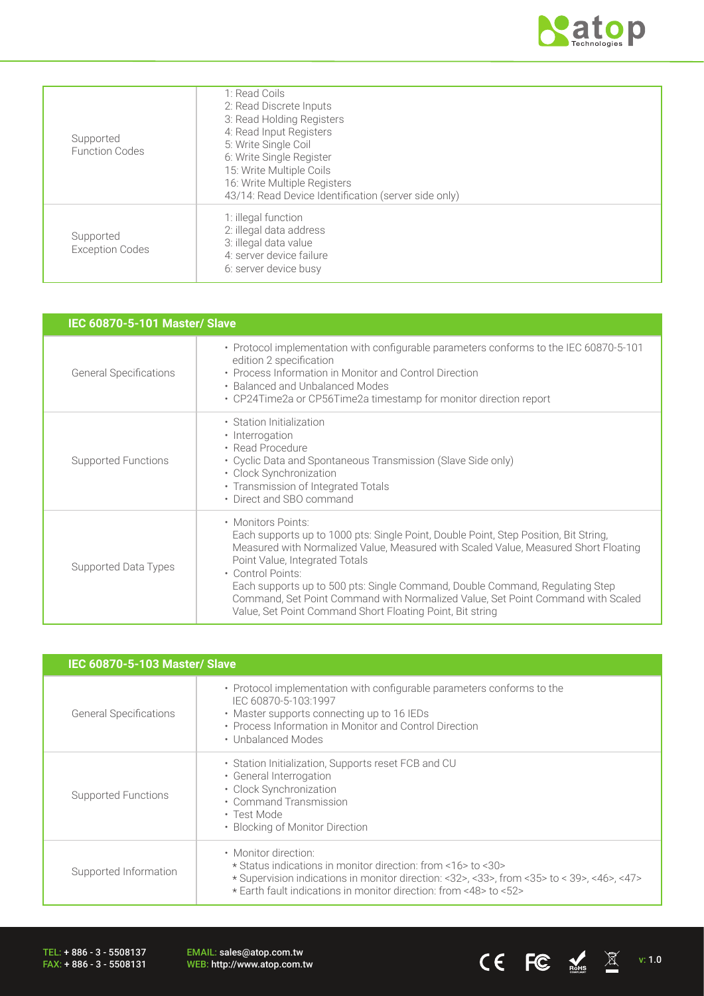

CE FC  $\underset{\text{meas}}{\bigstar}$   $\mathbb{X}$  v: 1.0

| Supported<br><b>Function Codes</b>  | 1: Read Coils<br>2: Read Discrete Inputs<br>3: Read Holding Registers<br>4: Read Input Registers<br>5: Write Single Coil<br>6: Write Single Register<br>15: Write Multiple Coils<br>16: Write Multiple Registers<br>43/14: Read Device Identification (server side only) |
|-------------------------------------|--------------------------------------------------------------------------------------------------------------------------------------------------------------------------------------------------------------------------------------------------------------------------|
| Supported<br><b>Exception Codes</b> | 1: illegal function<br>2: illegal data address<br>3: illegal data value<br>4: server device failure<br>6: server device busy                                                                                                                                             |

| <b>IEC 60870-5-101 Master/ Slave</b> |                                                                                                                                                                                                                                                                                                                                                                                                                                                                                          |  |  |  |
|--------------------------------------|------------------------------------------------------------------------------------------------------------------------------------------------------------------------------------------------------------------------------------------------------------------------------------------------------------------------------------------------------------------------------------------------------------------------------------------------------------------------------------------|--|--|--|
| <b>General Specifications</b>        | • Protocol implementation with configurable parameters conforms to the IEC 60870-5-101<br>edition 2 specification<br>• Process Information in Monitor and Control Direction<br>• Balanced and Unbalanced Modes<br>• CP24Time2a or CP56Time2a timestamp for monitor direction report                                                                                                                                                                                                      |  |  |  |
| Supported Functions                  | • Station Initialization<br>• Interrogation<br>• Read Procedure<br>• Cyclic Data and Spontaneous Transmission (Slave Side only)<br>· Clock Synchronization<br>• Transmission of Integrated Totals<br>• Direct and SBO command                                                                                                                                                                                                                                                            |  |  |  |
| Supported Data Types                 | • Monitors Points:<br>Each supports up to 1000 pts: Single Point, Double Point, Step Position, Bit String,<br>Measured with Normalized Value, Measured with Scaled Value, Measured Short Floating<br>Point Value, Integrated Totals<br>• Control Points:<br>Each supports up to 500 pts: Single Command, Double Command, Regulating Step<br>Command, Set Point Command with Normalized Value, Set Point Command with Scaled<br>Value, Set Point Command Short Floating Point, Bit string |  |  |  |

| IEC 60870-5-103 Master/ Slave |                                                                                                                                                                                                                                                        |  |  |
|-------------------------------|--------------------------------------------------------------------------------------------------------------------------------------------------------------------------------------------------------------------------------------------------------|--|--|
| <b>General Specifications</b> | • Protocol implementation with configurable parameters conforms to the<br>IEC 60870-5-103:1997<br>• Master supports connecting up to 16 IEDs<br>• Process Information in Monitor and Control Direction<br>• Unbalanced Modes                           |  |  |
| <b>Supported Functions</b>    | • Station Initialization, Supports reset FCB and CU<br>• General Interrogation<br>• Clock Synchronization<br>• Command Transmission<br>• Test Mode<br>• Blocking of Monitor Direction                                                                  |  |  |
| Supported Information         | • Monitor direction:<br>* Status indications in monitor direction: from <16>to <30><br>* Supervision indications in monitor direction: <32>, <33>, from <35> to < 39>, <46>, <47><br>* Earth fault indications in monitor direction: from <48> to <52> |  |  |

TEL: + 886 - 3 - 5508137 FAX: + 886 - 3 - 5508131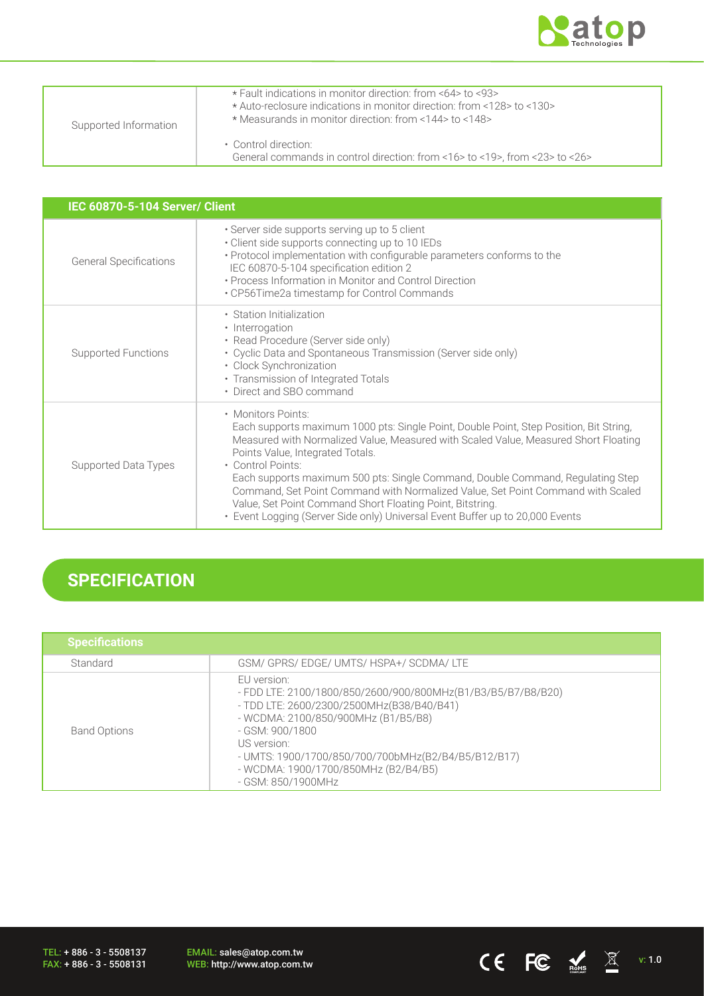

CE FC  $\underset{\text{nohs}}{\mathbb{E}}$   $\mathbb{E}$  v: 1.0

| Supported Information | * Fault indications in monitor direction: from <64> to <93><br>* Auto-reclosure indications in monitor direction: from <128> to <130><br>* Measurands in monitor direction: from <144> to <148> |
|-----------------------|-------------------------------------------------------------------------------------------------------------------------------------------------------------------------------------------------|
|                       | • Control direction:<br>General commands in control direction: from <16> to <19>, from <23> to <26>                                                                                             |

| <b>IEC 60870-5-104 Server/ Client</b> |                                                                                                                                                                                                                                                                                                                                                                                                                                                                                                                                                                                 |  |  |  |
|---------------------------------------|---------------------------------------------------------------------------------------------------------------------------------------------------------------------------------------------------------------------------------------------------------------------------------------------------------------------------------------------------------------------------------------------------------------------------------------------------------------------------------------------------------------------------------------------------------------------------------|--|--|--|
| <b>General Specifications</b>         | · Server side supports serving up to 5 client<br>• Client side supports connecting up to 10 IEDs<br>• Protocol implementation with configurable parameters conforms to the<br>IEC 60870-5-104 specification edition 2<br>• Process Information in Monitor and Control Direction<br>• CP56Time2a timestamp for Control Commands                                                                                                                                                                                                                                                  |  |  |  |
| Supported Functions                   | • Station Initialization<br>• Interrogation<br>• Read Procedure (Server side only)<br>• Cyclic Data and Spontaneous Transmission (Server side only)<br>· Clock Synchronization<br>• Transmission of Integrated Totals<br>• Direct and SBO command                                                                                                                                                                                                                                                                                                                               |  |  |  |
| Supported Data Types                  | • Monitors Points:<br>Each supports maximum 1000 pts: Single Point, Double Point, Step Position, Bit String,<br>Measured with Normalized Value, Measured with Scaled Value, Measured Short Floating<br>Points Value, Integrated Totals.<br>• Control Points:<br>Each supports maximum 500 pts: Single Command, Double Command, Regulating Step<br>Command, Set Point Command with Normalized Value, Set Point Command with Scaled<br>Value, Set Point Command Short Floating Point, Bitstring.<br>• Event Logging (Server Side only) Universal Event Buffer up to 20,000 Events |  |  |  |

# **SPECIFICATION**

| <b>Specifications</b> |                                                                                                                                                                                                                                                                                                                        |
|-----------------------|------------------------------------------------------------------------------------------------------------------------------------------------------------------------------------------------------------------------------------------------------------------------------------------------------------------------|
| Standard              | GSM/ GPRS/ EDGE/ UMTS/ HSPA+/ SCDMA/ LTE                                                                                                                                                                                                                                                                               |
| <b>Band Options</b>   | EU version:<br>- FDD LTE: 2100/1800/850/2600/900/800MHz(B1/B3/B5/B7/B8/B20)<br>- TDD LTE: 2600/2300/2500MHz(B38/B40/B41)<br>- WCDMA: 2100/850/900MHz (B1/B5/B8)<br>- GSM: 900/1800<br>US version:<br>- UMTS: 1900/1700/850/700/700bMHz(B2/B4/B5/B12/B17)<br>- WCDMA: 1900/1700/850MHz (B2/B4/B5)<br>- GSM: 850/1900MHz |

TEL: + 886 - 3 - 5508137 FAX: + 886 - 3 - 5508131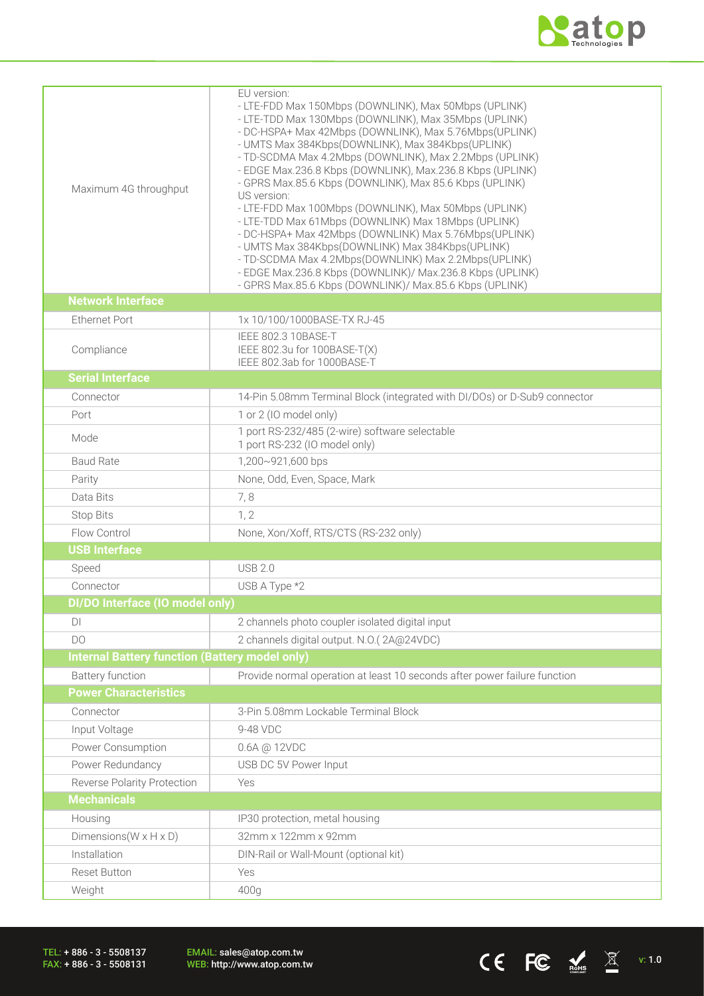

CE FC  $\underset{\text{meas}}{\bigstar}$   $\mathbb{X}$  v: 1.0

| Maximum 4G throughput                                 | EU version:<br>- LTE-FDD Max 150Mbps (DOWNLINK), Max 50Mbps (UPLINK)<br>- LTE-TDD Max 130Mbps (DOWNLINK), Max 35Mbps (UPLINK)<br>- DC-HSPA+ Max 42Mbps (DOWNLINK), Max 5.76Mbps(UPLINK)<br>- UMTS Max 384Kbps(DOWNLINK), Max 384Kbps(UPLINK)<br>- TD-SCDMA Max 4.2Mbps (DOWNLINK), Max 2.2Mbps (UPLINK)<br>- EDGE Max.236.8 Kbps (DOWNLINK), Max.236.8 Kbps (UPLINK)<br>- GPRS Max.85.6 Kbps (DOWNLINK), Max 85.6 Kbps (UPLINK)<br>US version:<br>- LTE-FDD Max 100Mbps (DOWNLINK), Max 50Mbps (UPLINK)<br>- LTE-TDD Max 61Mbps (DOWNLINK) Max 18Mbps (UPLINK)<br>- DC-HSPA+ Max 42Mbps (DOWNLINK) Max 5.76Mbps (UPLINK)<br>- UMTS Max 384Kbps(DOWNLINK) Max 384Kbps(UPLINK)<br>- TD-SCDMA Max 4.2Mbps(DOWNLINK) Max 2.2Mbps(UPLINK)<br>- EDGE Max.236.8 Kbps (DOWNLINK)/ Max.236.8 Kbps (UPLINK)<br>- GPRS Max.85.6 Kbps (DOWNLINK)/ Max.85.6 Kbps (UPLINK) |
|-------------------------------------------------------|--------------------------------------------------------------------------------------------------------------------------------------------------------------------------------------------------------------------------------------------------------------------------------------------------------------------------------------------------------------------------------------------------------------------------------------------------------------------------------------------------------------------------------------------------------------------------------------------------------------------------------------------------------------------------------------------------------------------------------------------------------------------------------------------------------------------------------------------------------------|
| <b>Network Interface</b>                              |                                                                                                                                                                                                                                                                                                                                                                                                                                                                                                                                                                                                                                                                                                                                                                                                                                                              |
| <b>Ethernet Port</b>                                  | 1x 10/100/1000BASE-TX RJ-45                                                                                                                                                                                                                                                                                                                                                                                                                                                                                                                                                                                                                                                                                                                                                                                                                                  |
| Compliance                                            | IEEE 802.3 10BASE-T<br>IEEE 802.3u for 100BASE-T(X)<br>IEEE 802.3ab for 1000BASE-T                                                                                                                                                                                                                                                                                                                                                                                                                                                                                                                                                                                                                                                                                                                                                                           |
| <b>Serial Interface</b>                               |                                                                                                                                                                                                                                                                                                                                                                                                                                                                                                                                                                                                                                                                                                                                                                                                                                                              |
| Connector                                             | 14-Pin 5.08mm Terminal Block (integrated with DI/DOs) or D-Sub9 connector                                                                                                                                                                                                                                                                                                                                                                                                                                                                                                                                                                                                                                                                                                                                                                                    |
| Port                                                  | 1 or 2 (IO model only)                                                                                                                                                                                                                                                                                                                                                                                                                                                                                                                                                                                                                                                                                                                                                                                                                                       |
| Mode                                                  | 1 port RS-232/485 (2-wire) software selectable<br>1 port RS-232 (IO model only)                                                                                                                                                                                                                                                                                                                                                                                                                                                                                                                                                                                                                                                                                                                                                                              |
| <b>Baud Rate</b>                                      | 1,200~921,600 bps                                                                                                                                                                                                                                                                                                                                                                                                                                                                                                                                                                                                                                                                                                                                                                                                                                            |
| Parity                                                | None, Odd, Even, Space, Mark                                                                                                                                                                                                                                                                                                                                                                                                                                                                                                                                                                                                                                                                                                                                                                                                                                 |
| Data Bits                                             | 7,8                                                                                                                                                                                                                                                                                                                                                                                                                                                                                                                                                                                                                                                                                                                                                                                                                                                          |
| <b>Stop Bits</b>                                      | 1, 2                                                                                                                                                                                                                                                                                                                                                                                                                                                                                                                                                                                                                                                                                                                                                                                                                                                         |
| Flow Control                                          | None, Xon/Xoff, RTS/CTS (RS-232 only)                                                                                                                                                                                                                                                                                                                                                                                                                                                                                                                                                                                                                                                                                                                                                                                                                        |
| <b>USB Interface</b>                                  |                                                                                                                                                                                                                                                                                                                                                                                                                                                                                                                                                                                                                                                                                                                                                                                                                                                              |
| Speed                                                 | <b>USB 2.0</b>                                                                                                                                                                                                                                                                                                                                                                                                                                                                                                                                                                                                                                                                                                                                                                                                                                               |
| Connector                                             | USB A Type *2                                                                                                                                                                                                                                                                                                                                                                                                                                                                                                                                                                                                                                                                                                                                                                                                                                                |
| DI/DO Interface (IO model only)                       |                                                                                                                                                                                                                                                                                                                                                                                                                                                                                                                                                                                                                                                                                                                                                                                                                                                              |
| DI                                                    | 2 channels photo coupler isolated digital input                                                                                                                                                                                                                                                                                                                                                                                                                                                                                                                                                                                                                                                                                                                                                                                                              |
| DO                                                    | 2 channels digital output. N.O.(2A@24VDC)                                                                                                                                                                                                                                                                                                                                                                                                                                                                                                                                                                                                                                                                                                                                                                                                                    |
| <b>Internal Battery function (Battery model only)</b> |                                                                                                                                                                                                                                                                                                                                                                                                                                                                                                                                                                                                                                                                                                                                                                                                                                                              |
| <b>Battery function</b>                               | Provide normal operation at least 10 seconds after power failure function                                                                                                                                                                                                                                                                                                                                                                                                                                                                                                                                                                                                                                                                                                                                                                                    |
| <b>Power Characteristics</b>                          |                                                                                                                                                                                                                                                                                                                                                                                                                                                                                                                                                                                                                                                                                                                                                                                                                                                              |
| Connector                                             | 3-Pin 5.08mm Lockable Terminal Block                                                                                                                                                                                                                                                                                                                                                                                                                                                                                                                                                                                                                                                                                                                                                                                                                         |
| Input Voltage                                         | 9-48 VDC                                                                                                                                                                                                                                                                                                                                                                                                                                                                                                                                                                                                                                                                                                                                                                                                                                                     |
| Power Consumption                                     | 0.6A @ 12VDC                                                                                                                                                                                                                                                                                                                                                                                                                                                                                                                                                                                                                                                                                                                                                                                                                                                 |
| Power Redundancy                                      | USB DC 5V Power Input                                                                                                                                                                                                                                                                                                                                                                                                                                                                                                                                                                                                                                                                                                                                                                                                                                        |
| Reverse Polarity Protection                           | Yes                                                                                                                                                                                                                                                                                                                                                                                                                                                                                                                                                                                                                                                                                                                                                                                                                                                          |
| <b>Mechanicals</b>                                    |                                                                                                                                                                                                                                                                                                                                                                                                                                                                                                                                                                                                                                                                                                                                                                                                                                                              |
| Housing                                               | IP30 protection, metal housing                                                                                                                                                                                                                                                                                                                                                                                                                                                                                                                                                                                                                                                                                                                                                                                                                               |
| Dimensions ( $W \times H \times D$ )                  | 32mm x 122mm x 92mm                                                                                                                                                                                                                                                                                                                                                                                                                                                                                                                                                                                                                                                                                                                                                                                                                                          |
| Installation                                          | DIN-Rail or Wall-Mount (optional kit)                                                                                                                                                                                                                                                                                                                                                                                                                                                                                                                                                                                                                                                                                                                                                                                                                        |
| <b>Reset Button</b>                                   | Yes                                                                                                                                                                                                                                                                                                                                                                                                                                                                                                                                                                                                                                                                                                                                                                                                                                                          |
| Weight                                                | 400g                                                                                                                                                                                                                                                                                                                                                                                                                                                                                                                                                                                                                                                                                                                                                                                                                                                         |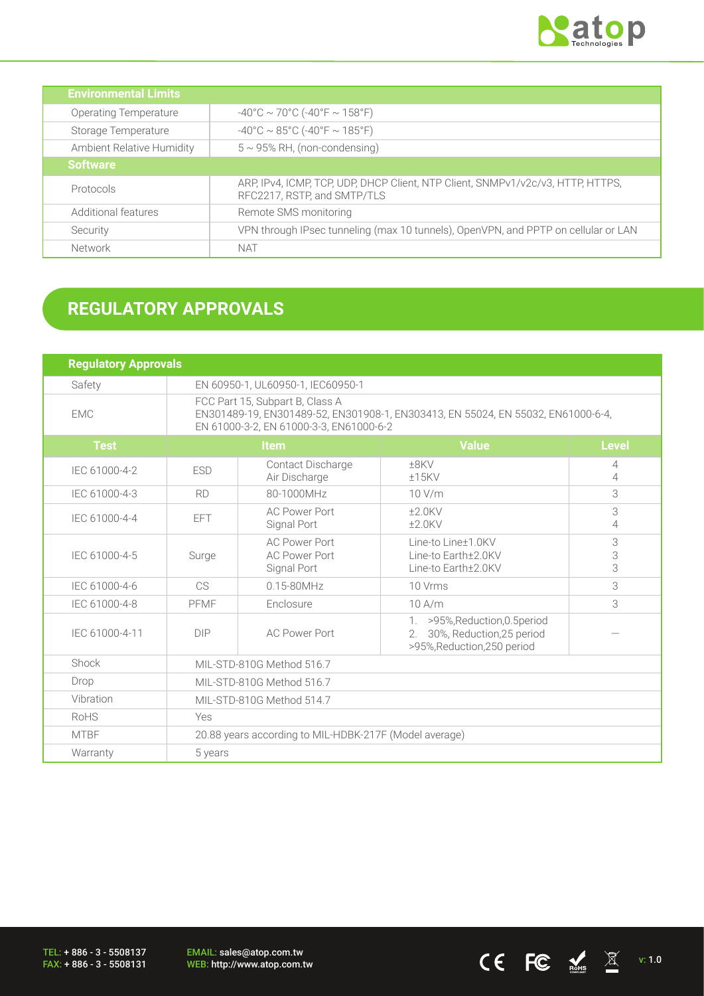

CE FC  $\underset{\text{nohs}}{\mathbb{E}}$   $\mathbb{E}$  v: 1.0

| <b>Environmental Limits</b>  |                                                                                                                |
|------------------------------|----------------------------------------------------------------------------------------------------------------|
| <b>Operating Temperature</b> | $-40^{\circ}$ C ~ 70°C (-40°F ~ 158°F)                                                                         |
| Storage Temperature          | $-40^{\circ}$ C ~ 85°C (-40°F ~ 185°F)                                                                         |
| Ambient Relative Humidity    | $5 \sim 95\%$ RH, (non-condensing)                                                                             |
| <b>Software</b>              |                                                                                                                |
| Protocols                    | ARP, IPv4, ICMP, TCP, UDP, DHCP Client, NTP Client, SNMPv1/v2c/v3, HTTP, HTTPS,<br>RFC2217, RSTP, and SMTP/TLS |
| Additional features          | Remote SMS monitoring                                                                                          |
| Security                     | VPN through IPsec tunneling (max 10 tunnels), OpenVPN, and PPTP on cellular or LAN                             |
| Network                      | NAT                                                                                                            |

# **REGULATORY APPROVALS**

| <b>Regulatory Approvals</b> |                                                                                                                                                                |                                                             |                                                                                                  |                     |
|-----------------------------|----------------------------------------------------------------------------------------------------------------------------------------------------------------|-------------------------------------------------------------|--------------------------------------------------------------------------------------------------|---------------------|
| Safety                      | EN 60950-1, UL60950-1, IEC60950-1                                                                                                                              |                                                             |                                                                                                  |                     |
| <b>EMC</b>                  | FCC Part 15, Subpart B, Class A<br>EN301489-19, EN301489-52, EN301908-1, EN303413, EN 55024, EN 55032, EN61000-6-4,<br>EN 61000-3-2, EN 61000-3-3, EN61000-6-2 |                                                             |                                                                                                  |                     |
| <b>Test</b>                 |                                                                                                                                                                | <b>Item</b>                                                 | <b>Value</b>                                                                                     | <b>Level</b>        |
| IEC 61000-4-2               | <b>ESD</b>                                                                                                                                                     | Contact Discharge<br>Air Discharge                          | $±8$ KV<br>±15KV                                                                                 | 4<br>4              |
| IEC 61000-4-3               | <b>RD</b>                                                                                                                                                      | 80-1000MHz                                                  | 10 V/m                                                                                           | 3                   |
| IEC 61000-4-4               | EFT.                                                                                                                                                           | <b>AC Power Port</b><br>Signal Port                         | $±2.0$ KV<br>$±2.0$ KV                                                                           | 3<br>$\overline{4}$ |
| IEC 61000-4-5               | Surge                                                                                                                                                          | <b>AC Power Port</b><br><b>AC Power Port</b><br>Signal Port | Line-to Line±1.0KV<br>Line-to Earth+2.0KV<br>Line-to Earth±2.0KV                                 | 3<br>3<br>3         |
| IEC 61000-4-6               | C <sub>S</sub>                                                                                                                                                 | $0.15 - 80$ MHz                                             | 10 Vrms                                                                                          | 3                   |
| IEC 61000-4-8               | PFMF                                                                                                                                                           | Enclosure                                                   | $10$ A/m                                                                                         | 3                   |
| IEC 61000-4-11              | <b>DIP</b>                                                                                                                                                     | <b>AC Power Port</b>                                        | 1. >95%, Reduction, 0.5 period<br>30%, Reduction, 25 period<br>2.<br>>95%, Reduction, 250 period |                     |
| Shock                       | MIL-STD-810G Method 516.7                                                                                                                                      |                                                             |                                                                                                  |                     |
| Drop                        | MIL-STD-810G Method 516.7                                                                                                                                      |                                                             |                                                                                                  |                     |
| Vibration                   | MIL-STD-810G Method 514.7                                                                                                                                      |                                                             |                                                                                                  |                     |
| RoHS                        | Yes                                                                                                                                                            |                                                             |                                                                                                  |                     |
| <b>MTBF</b>                 | 20.88 years according to MIL-HDBK-217F (Model average)                                                                                                         |                                                             |                                                                                                  |                     |
| Warranty                    | 5 years                                                                                                                                                        |                                                             |                                                                                                  |                     |

TEL: + 886 - 3 - 5508137 FAX: + 886 - 3 - 5508131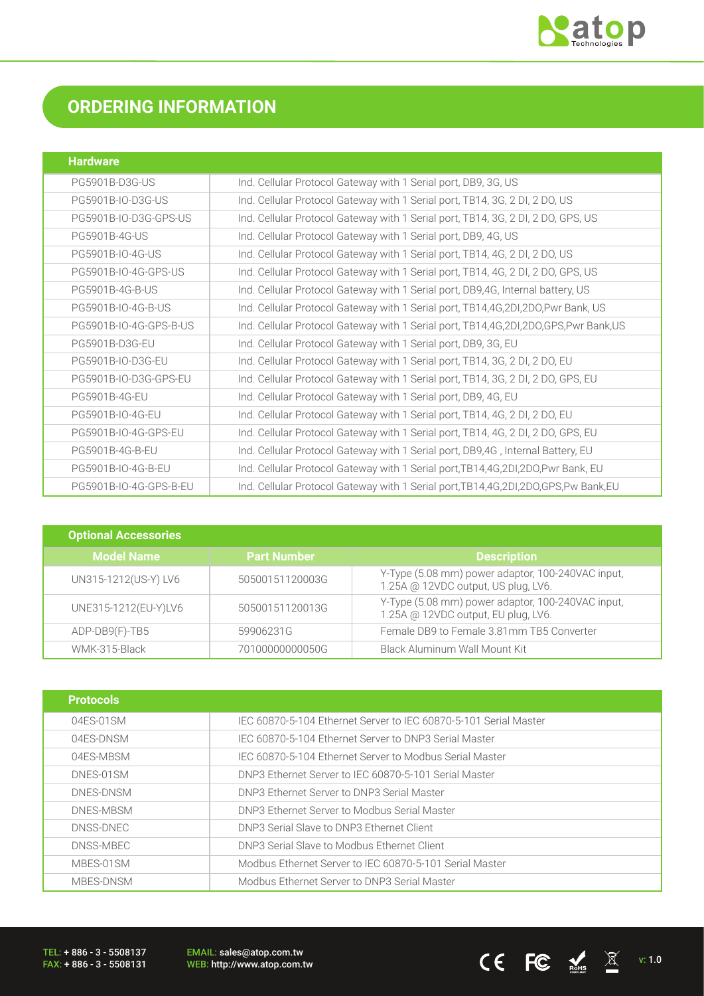

# **ORDERING INFORMATION**

| <b>Hardware</b>        |                                                                                         |
|------------------------|-----------------------------------------------------------------------------------------|
| PG5901B-D3G-US         | Ind. Cellular Protocol Gateway with 1 Serial port, DB9, 3G, US                          |
| PG5901B-IO-D3G-US      | Ind. Cellular Protocol Gateway with 1 Serial port, TB14, 3G, 2 DI, 2 DO, US             |
| PG5901B-IO-D3G-GPS-US  | Ind. Cellular Protocol Gateway with 1 Serial port, TB14, 3G, 2 DI, 2 DO, GPS, US        |
| <b>PG5901B-4G-US</b>   | Ind. Cellular Protocol Gateway with 1 Serial port, DB9, 4G, US                          |
| PG5901B-IO-4G-US       | Ind. Cellular Protocol Gateway with 1 Serial port, TB14, 4G, 2 DI, 2 DO, US             |
| PG5901B-IO-4G-GPS-US   | Ind. Cellular Protocol Gateway with 1 Serial port, TB14, 4G, 2 DI, 2 DO, GPS, US        |
| PG5901B-4G-B-US        | Ind. Cellular Protocol Gateway with 1 Serial port, DB9,4G, Internal battery, US         |
| PG5901B-IO-4G-B-US     | Ind. Cellular Protocol Gateway with 1 Serial port, TB14,4G,2DI,2DO,Pwr Bank, US         |
| PG5901B-IO-4G-GPS-B-US | Ind. Cellular Protocol Gateway with 1 Serial port, TB14,4G,2DI,2DO,GPS,Pwr Bank,US      |
| PG5901B-D3G-EU         | Ind. Cellular Protocol Gateway with 1 Serial port, DB9, 3G, EU                          |
| PG5901B-IO-D3G-EU      | Ind. Cellular Protocol Gateway with 1 Serial port, TB14, 3G, 2 DI, 2 DO, EU             |
| PG5901B-IO-D3G-GPS-EU  | Ind. Cellular Protocol Gateway with 1 Serial port, TB14, 3G, 2 DI, 2 DO, GPS, EU        |
| PG5901B-4G-EU          | Ind. Cellular Protocol Gateway with 1 Serial port, DB9, 4G, EU                          |
| PG5901B-IO-4G-EU       | Ind. Cellular Protocol Gateway with 1 Serial port, TB14, 4G, 2 DI, 2 DO, EU             |
| PG5901B-IO-4G-GPS-EU   | Ind. Cellular Protocol Gateway with 1 Serial port, TB14, 4G, 2 DI, 2 DO, GPS, EU        |
| <b>PG5901B-4G-B-EU</b> | Ind. Cellular Protocol Gateway with 1 Serial port, DB9,4G, Internal Battery, EU         |
| PG5901B-IO-4G-B-EU     | Ind. Cellular Protocol Gateway with 1 Serial port, TB14, 4G, 2DI, 2DO, Pwr Bank, EU     |
| PG5901B-IO-4G-GPS-B-EU | Ind. Cellular Protocol Gateway with 1 Serial port, TB14, 4G, 2DI, 2DO, GPS, Pw Bank, EU |

| <b>Optional Accessories</b> |                    |                                                                                          |
|-----------------------------|--------------------|------------------------------------------------------------------------------------------|
| <b>Model Name</b>           | <b>Part Number</b> | <b>Description</b>                                                                       |
| UN315-1212(US-Y) LV6        | 50500151120003G    | Y-Type (5.08 mm) power adaptor, 100-240VAC input,<br>1.25A @ 12VDC output, US plug, LV6. |
| UNE315-1212(EU-Y)LV6        | 50500151120013G    | Y-Type (5.08 mm) power adaptor, 100-240VAC input,<br>1.25A @ 12VDC output, EU plug, LV6. |
| ADP-DB9(F)-TB5              | 59906231G          | Female DB9 to Female 3.81mm TB5 Converter                                                |
| WMK-315-Black               | 70100000000050G    | Black Aluminum Wall Mount Kit                                                            |

| <b>Protocols</b> |                                                                  |
|------------------|------------------------------------------------------------------|
| 04FS-01SM        | IEC 60870-5-104 Ethernet Server to IEC 60870-5-101 Serial Master |
| 04FS-DNSM        | IEC 60870-5-104 Ethernet Server to DNP3 Serial Master            |
| 04ES-MBSM        | IEC 60870-5-104 Ethernet Server to Modbus Serial Master          |
| DNES-01SM        | DNP3 Ethernet Server to IEC 60870-5-101 Serial Master            |
| DNES-DNSM        | DNP3 Ethernet Server to DNP3 Serial Master                       |
| DNES-MBSM        | DNP3 Ethernet Server to Modbus Serial Master                     |
| DNSS-DNFC        | DNP3 Serial Slave to DNP3 Ethernet Client                        |
| DNSS-MBEC        | DNP3 Serial Slave to Modbus Ethernet Client                      |
| MBES-01SM        | Modbus Ethernet Server to IEC 60870-5-101 Serial Master          |
| MBES-DNSM        | Modbus Ethernet Server to DNP3 Serial Master                     |

TEL: + 886 - 3 - 5508137 FAX: + 886 - 3 - 5508131